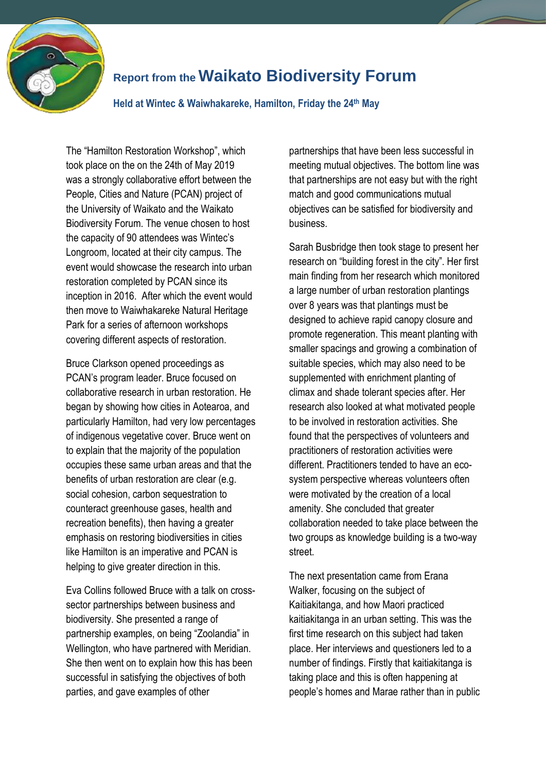

## **Report from the Waikato Biodiversity Forum**

**Held at Wintec & Waiwhakareke, Hamilton, Friday the 24th May**

The "Hamilton Restoration Workshop", which took place on the on the 24th of May 2019 was a strongly collaborative effort between the People, Cities and Nature (PCAN) project of the University of Waikato and the Waikato Biodiversity Forum. The venue chosen to host the capacity of 90 attendees was Wintec's Longroom, located at their city campus. The event would showcase the research into urban restoration completed by PCAN since its inception in 2016. After which the event would then move to Waiwhakareke Natural Heritage Park for a series of afternoon workshops covering different aspects of restoration.

Bruce Clarkson opened proceedings as PCAN's program leader. Bruce focused on collaborative research in urban restoration. He began by showing how cities in Aotearoa, and particularly Hamilton, had very low percentages of indigenous vegetative cover. Bruce went on to explain that the majority of the population occupies these same urban areas and that the benefits of urban restoration are clear (e.g. social cohesion, carbon sequestration to counteract greenhouse gases, health and recreation benefits), then having a greater emphasis on restoring biodiversities in cities like Hamilton is an imperative and PCAN is helping to give greater direction in this.

Eva Collins followed Bruce with a talk on crosssector partnerships between business and biodiversity. She presented a range of partnership examples, on being "Zoolandia" in Wellington, who have partnered with Meridian. She then went on to explain how this has been successful in satisfying the objectives of both parties, and gave examples of other

partnerships that have been less successful in meeting mutual objectives. The bottom line was that partnerships are not easy but with the right match and good communications mutual objectives can be satisfied for biodiversity and business.

Sarah Busbridge then took stage to present her research on "building forest in the city". Her first main finding from her research which monitored a large number of urban restoration plantings over 8 years was that plantings must be designed to achieve rapid canopy closure and promote regeneration. This meant planting with smaller spacings and growing a combination of suitable species, which may also need to be supplemented with enrichment planting of climax and shade tolerant species after. Her research also looked at what motivated people to be involved in restoration activities. She found that the perspectives of volunteers and practitioners of restoration activities were different. Practitioners tended to have an ecosystem perspective whereas volunteers often were motivated by the creation of a local amenity. She concluded that greater collaboration needed to take place between the two groups as knowledge building is a two-way street.

The next presentation came from Erana Walker, focusing on the subject of Kaitiakitanga, and how Maori practiced kaitiakitanga in an urban setting. This was the first time research on this subject had taken place. Her interviews and questioners led to a number of findings. Firstly that kaitiakitanga is taking place and this is often happening at people's homes and Marae rather than in public